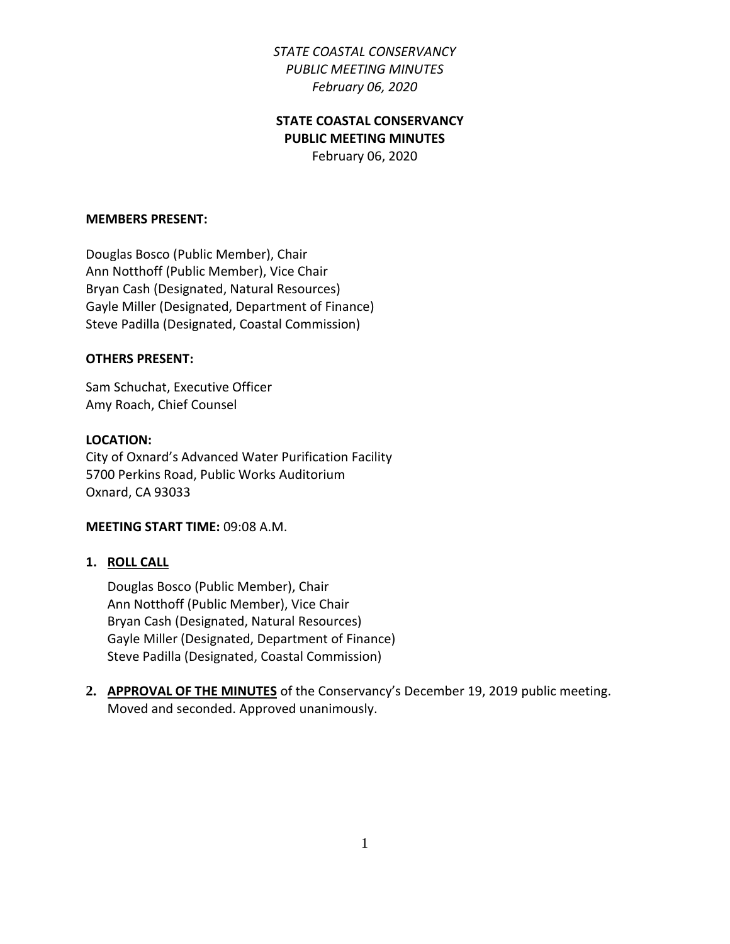# **STATE COASTAL CONSERVANCY PUBLIC MEETING MINUTES**

February 06, 2020

#### **MEMBERS PRESENT:**

Douglas Bosco (Public Member), Chair Ann Notthoff (Public Member), Vice Chair Bryan Cash (Designated, Natural Resources) Gayle Miller (Designated, Department of Finance) Steve Padilla (Designated, Coastal Commission)

#### **OTHERS PRESENT:**

Sam Schuchat, Executive Officer Amy Roach, Chief Counsel

#### **LOCATION:**

City of Oxnard's Advanced Water Purification Facility 5700 Perkins Road, Public Works Auditorium Oxnard, CA 93033

#### **MEETING START TIME:** 09:08 A.M.

#### **1. ROLL CALL**

Douglas Bosco (Public Member), Chair Ann Notthoff (Public Member), Vice Chair Bryan Cash (Designated, Natural Resources) Gayle Miller (Designated, Department of Finance) Steve Padilla (Designated, Coastal Commission)

**2. APPROVAL OF THE MINUTES** of the Conservancy's December 19, 2019 public meeting. Moved and seconded. Approved unanimously.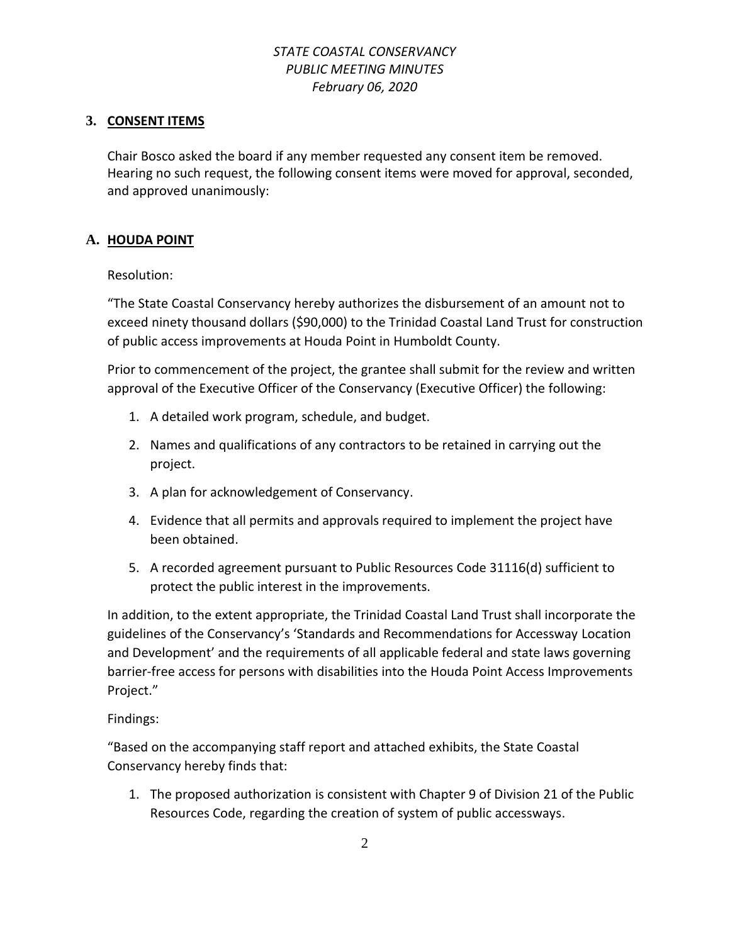#### **3. CONSENT ITEMS**

Chair Bosco asked the board if any member requested any consent item be removed. Hearing no such request, the following consent items were moved for approval, seconded, and approved unanimously:

#### **A. HOUDA POINT**

Resolution:

"The State Coastal Conservancy hereby authorizes the disbursement of an amount not to exceed ninety thousand dollars (\$90,000) to the Trinidad Coastal Land Trust for construction of public access improvements at Houda Point in Humboldt County.

Prior to commencement of the project, the grantee shall submit for the review and written approval of the Executive Officer of the Conservancy (Executive Officer) the following:

- 1. A detailed work program, schedule, and budget.
- 2. Names and qualifications of any contractors to be retained in carrying out the project.
- 3. A plan for acknowledgement of Conservancy.
- 4. Evidence that all permits and approvals required to implement the project have been obtained.
- 5. A recorded agreement pursuant to Public Resources Code 31116(d) sufficient to protect the public interest in the improvements.

In addition, to the extent appropriate, the Trinidad Coastal Land Trust shall incorporate the guidelines of the Conservancy's 'Standards and Recommendations for Accessway Location and Development' and the requirements of all applicable federal and state laws governing barrier-free access for persons with disabilities into the Houda Point Access Improvements Project."

#### Findings:

"Based on the accompanying staff report and attached exhibits, the State Coastal Conservancy hereby finds that:

1. The proposed authorization is consistent with Chapter 9 of Division 21 of the Public Resources Code, regarding the creation of system of public accessways.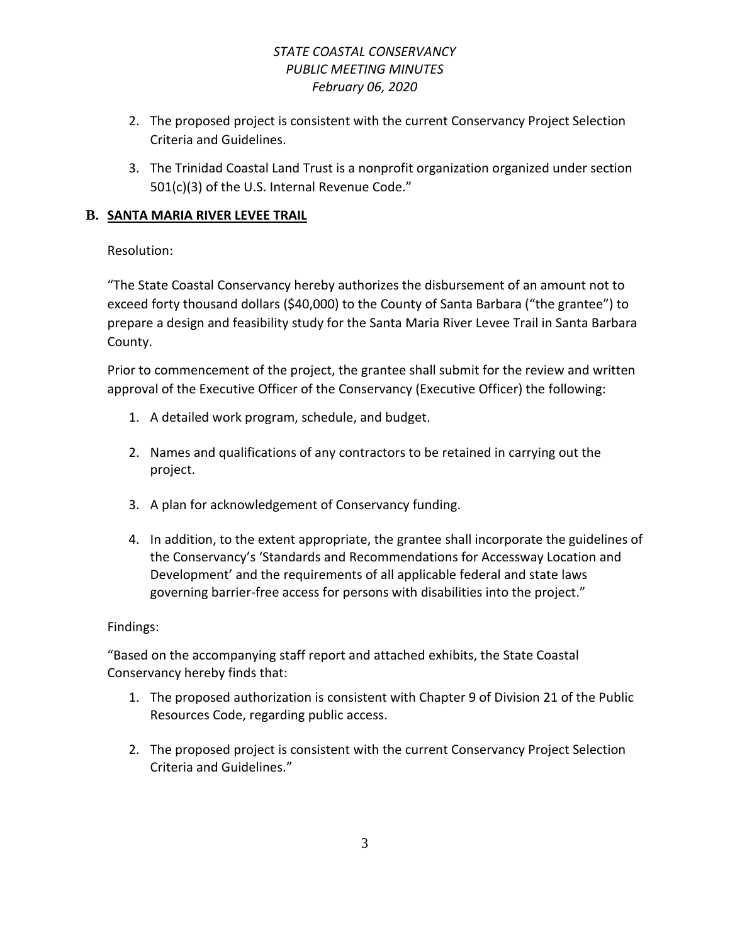- 2. The proposed project is consistent with the current Conservancy Project Selection Criteria and Guidelines.
- 3. The Trinidad Coastal Land Trust is a nonprofit organization organized under section 501(c)(3) of the U.S. Internal Revenue Code."

# **B. SANTA MARIA RIVER LEVEE TRAIL**

Resolution:

"The State Coastal Conservancy hereby authorizes the disbursement of an amount not to exceed forty thousand dollars (\$40,000) to the County of Santa Barbara ("the grantee") to prepare a design and feasibility study for the Santa Maria River Levee Trail in Santa Barbara County.

Prior to commencement of the project, the grantee shall submit for the review and written approval of the Executive Officer of the Conservancy (Executive Officer) the following:

- 1. A detailed work program, schedule, and budget.
- 2. Names and qualifications of any contractors to be retained in carrying out the project.
- 3. A plan for acknowledgement of Conservancy funding.
- 4. In addition, to the extent appropriate, the grantee shall incorporate the guidelines of the Conservancy's 'Standards and Recommendations for Accessway Location and Development' and the requirements of all applicable federal and state laws governing barrier-free access for persons with disabilities into the project."

# Findings:

"Based on the accompanying staff report and attached exhibits, the State Coastal Conservancy hereby finds that:

- 1. The proposed authorization is consistent with Chapter 9 of Division 21 of the Public Resources Code, regarding public access.
- 2. The proposed project is consistent with the current Conservancy Project Selection Criteria and Guidelines."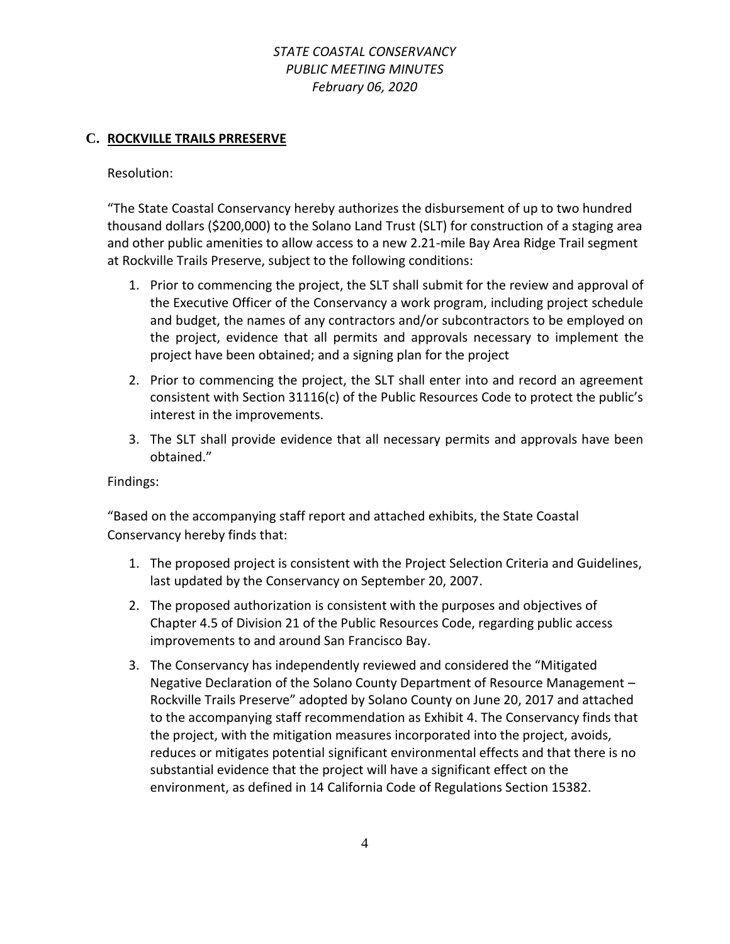#### **C. ROCKVILLE TRAILS PRRESERVE**

Resolution:

"The State Coastal Conservancy hereby authorizes the disbursement of up to two hundred thousand dollars (\$200,000) to the Solano Land Trust (SLT) for construction of a staging area and other public amenities to allow access to a new 2.21-mile Bay Area Ridge Trail segment at Rockville Trails Preserve, subject to the following conditions:

- 1. Prior to commencing the project, the SLT shall submit for the review and approval of the Executive Officer of the Conservancy a work program, including project schedule and budget, the names of any contractors and/or subcontractors to be employed on the project, evidence that all permits and approvals necessary to implement the project have been obtained; and a signing plan for the project
- 2. Prior to commencing the project, the SLT shall enter into and record an agreement consistent with Section 31116(c) of the Public Resources Code to protect the public's interest in the improvements.
- 3. The SLT shall provide evidence that all necessary permits and approvals have been obtained."

Findings:

"Based on the accompanying staff report and attached exhibits, the State Coastal Conservancy hereby finds that:

- 1. The proposed project is consistent with the Project Selection Criteria and Guidelines, last updated by the Conservancy on September 20, 2007.
- 2. The proposed authorization is consistent with the purposes and objectives of Chapter 4.5 of Division 21 of the Public Resources Code, regarding public access improvements to and around San Francisco Bay.
- 3. The Conservancy has independently reviewed and considered the "Mitigated Negative Declaration of the Solano County Department of Resource Management – Rockville Trails Preserve" adopted by Solano County on June 20, 2017 and attached to the accompanying staff recommendation as Exhibit 4. The Conservancy finds that the project, with the mitigation measures incorporated into the project, avoids, reduces or mitigates potential significant environmental effects and that there is no substantial evidence that the project will have a significant effect on the environment, as defined in 14 California Code of Regulations Section 15382.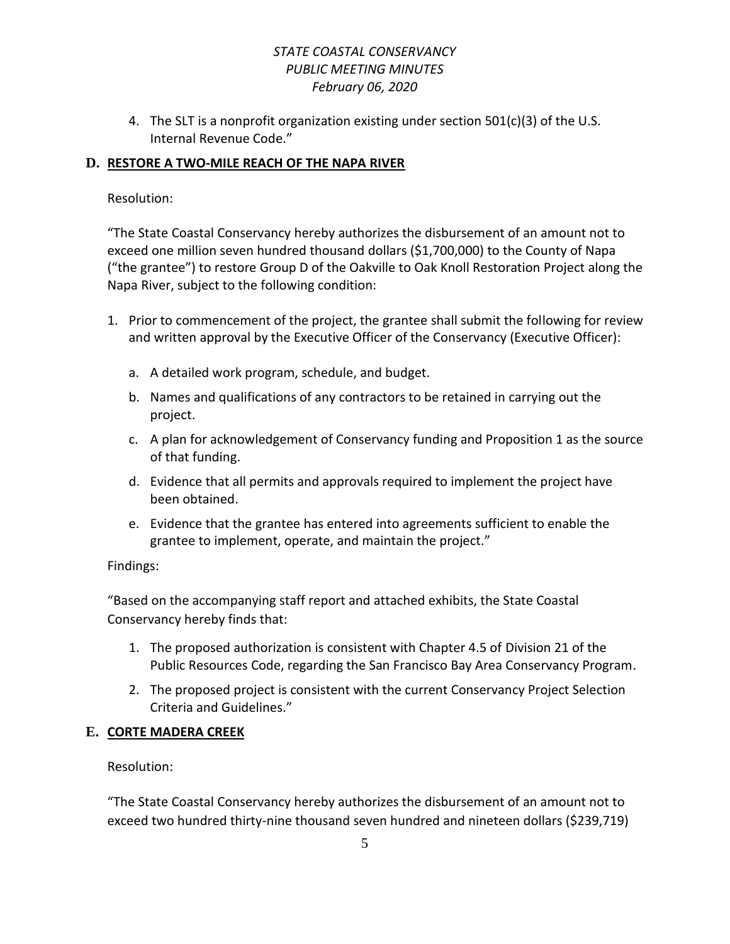4. The SLT is a nonprofit organization existing under section 501(c)(3) of the U.S. Internal Revenue Code."

#### **D. RESTORE A TWO-MILE REACH OF THE NAPA RIVER**

#### Resolution:

"The State Coastal Conservancy hereby authorizes the disbursement of an amount not to exceed one million seven hundred thousand dollars (\$1,700,000) to the County of Napa ("the grantee") to restore Group D of the Oakville to Oak Knoll Restoration Project along the Napa River, subject to the following condition:

- 1. Prior to commencement of the project, the grantee shall submit the following for review and written approval by the Executive Officer of the Conservancy (Executive Officer):
	- a. A detailed work program, schedule, and budget.
	- b. Names and qualifications of any contractors to be retained in carrying out the project.
	- c. A plan for acknowledgement of Conservancy funding and Proposition 1 as the source of that funding.
	- d. Evidence that all permits and approvals required to implement the project have been obtained.
	- e. Evidence that the grantee has entered into agreements sufficient to enable the grantee to implement, operate, and maintain the project."

#### Findings:

"Based on the accompanying staff report and attached exhibits, the State Coastal Conservancy hereby finds that:

- 1. The proposed authorization is consistent with Chapter 4.5 of Division 21 of the Public Resources Code, regarding the San Francisco Bay Area Conservancy Program.
- 2. The proposed project is consistent with the current Conservancy Project Selection Criteria and Guidelines."

#### **E. CORTE MADERA CREEK**

Resolution:

"The State Coastal Conservancy hereby authorizes the disbursement of an amount not to exceed two hundred thirty-nine thousand seven hundred and nineteen dollars (\$239,719)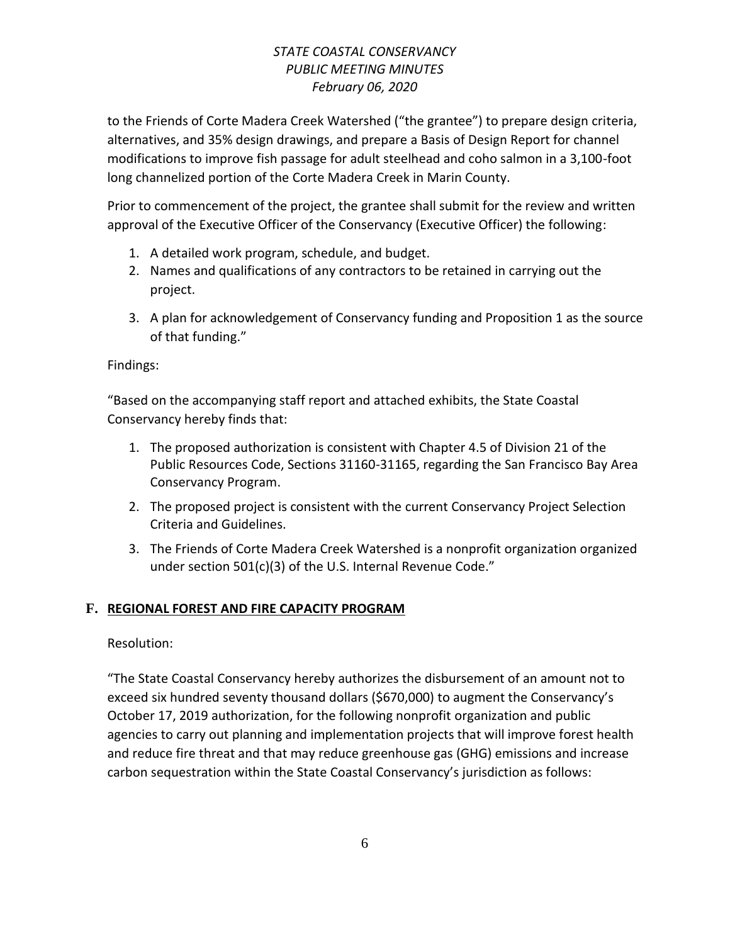to the Friends of Corte Madera Creek Watershed ("the grantee") to prepare design criteria, alternatives, and 35% design drawings, and prepare a Basis of Design Report for channel modifications to improve fish passage for adult steelhead and coho salmon in a 3,100-foot long channelized portion of the Corte Madera Creek in Marin County.

Prior to commencement of the project, the grantee shall submit for the review and written approval of the Executive Officer of the Conservancy (Executive Officer) the following:

- 1. A detailed work program, schedule, and budget.
- 2. Names and qualifications of any contractors to be retained in carrying out the project.
- 3. A plan for acknowledgement of Conservancy funding and Proposition 1 as the source of that funding."

#### Findings:

"Based on the accompanying staff report and attached exhibits, the State Coastal Conservancy hereby finds that:

- 1. The proposed authorization is consistent with Chapter 4.5 of Division 21 of the Public Resources Code, Sections 31160-31165, regarding the San Francisco Bay Area Conservancy Program.
- 2. The proposed project is consistent with the current Conservancy Project Selection Criteria and Guidelines.
- 3. The Friends of Corte Madera Creek Watershed is a nonprofit organization organized under section 501(c)(3) of the U.S. Internal Revenue Code."

#### **F. REGIONAL FOREST AND FIRE CAPACITY PROGRAM**

Resolution:

"The State Coastal Conservancy hereby authorizes the disbursement of an amount not to exceed six hundred seventy thousand dollars (\$670,000) to augment the Conservancy's October 17, 2019 authorization, for the following nonprofit organization and public agencies to carry out planning and implementation projects that will improve forest health and reduce fire threat and that may reduce greenhouse gas (GHG) emissions and increase carbon sequestration within the State Coastal Conservancy's jurisdiction as follows: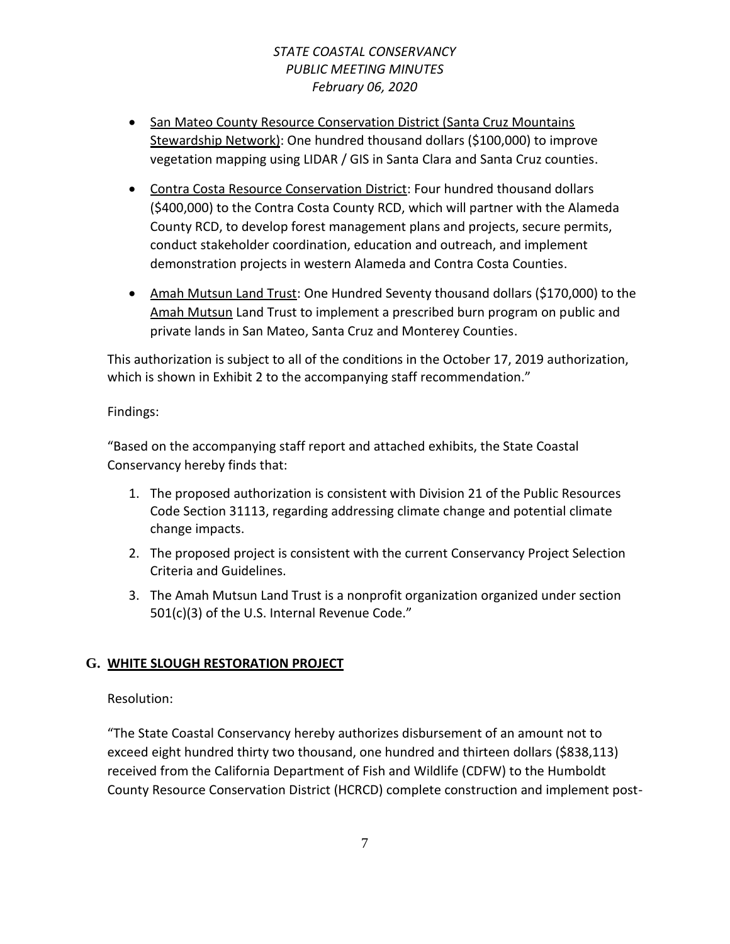- San Mateo County Resource Conservation District (Santa Cruz Mountains Stewardship Network): One hundred thousand dollars (\$100,000) to improve vegetation mapping using LIDAR / GIS in Santa Clara and Santa Cruz counties.
- Contra Costa Resource Conservation District: Four hundred thousand dollars (\$400,000) to the Contra Costa County RCD, which will partner with the Alameda County RCD, to develop forest management plans and projects, secure permits, conduct stakeholder coordination, education and outreach, and implement demonstration projects in western Alameda and Contra Costa Counties.
- Amah Mutsun Land Trust: One Hundred Seventy thousand dollars (\$170,000) to the Amah Mutsun Land Trust to implement a prescribed burn program on public and private lands in San Mateo, Santa Cruz and Monterey Counties.

This authorization is subject to all of the conditions in the October 17, 2019 authorization, which is shown in Exhibit 2 to the accompanying staff recommendation."

# Findings:

"Based on the accompanying staff report and attached exhibits, the State Coastal Conservancy hereby finds that:

- 1. The proposed authorization is consistent with Division 21 of the Public Resources Code Section 31113, regarding addressing climate change and potential climate change impacts.
- 2. The proposed project is consistent with the current Conservancy Project Selection Criteria and Guidelines.
- 3. The Amah Mutsun Land Trust is a nonprofit organization organized under section 501(c)(3) of the U.S. Internal Revenue Code."

# **G. WHITE SLOUGH RESTORATION PROJECT**

#### Resolution:

"The State Coastal Conservancy hereby authorizes disbursement of an amount not to exceed eight hundred thirty two thousand, one hundred and thirteen dollars (\$838,113) received from the California Department of Fish and Wildlife (CDFW) to the Humboldt County Resource Conservation District (HCRCD) complete construction and implement post-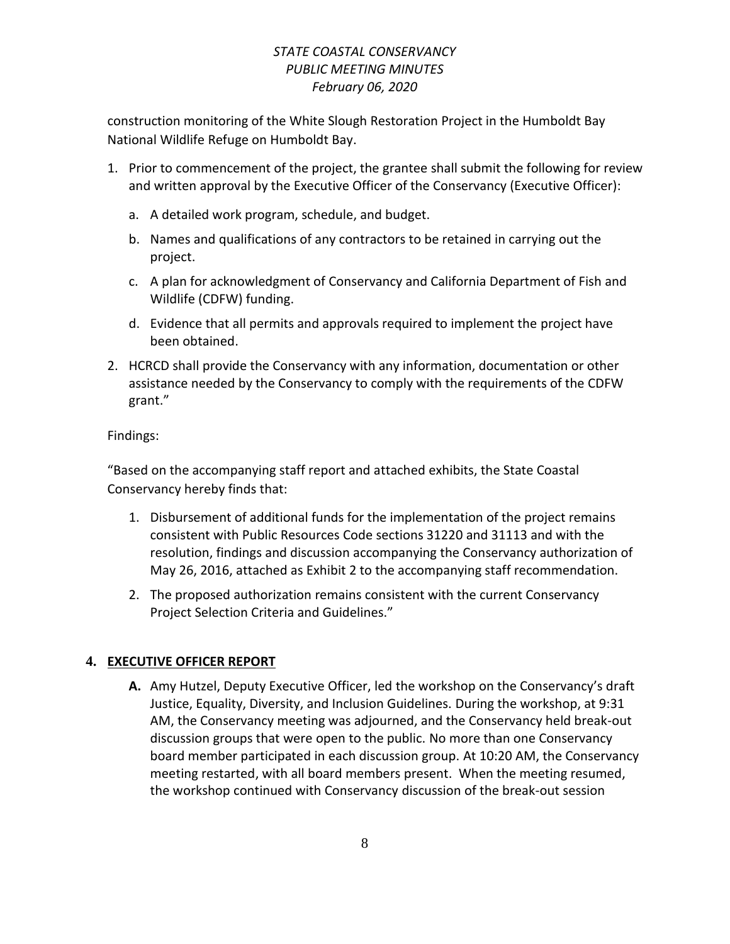construction monitoring of the White Slough Restoration Project in the Humboldt Bay National Wildlife Refuge on Humboldt Bay.

- 1. Prior to commencement of the project, the grantee shall submit the following for review and written approval by the Executive Officer of the Conservancy (Executive Officer):
	- a. A detailed work program, schedule, and budget.
	- b. Names and qualifications of any contractors to be retained in carrying out the project.
	- c. A plan for acknowledgment of Conservancy and California Department of Fish and Wildlife (CDFW) funding.
	- d. Evidence that all permits and approvals required to implement the project have been obtained.
- 2. HCRCD shall provide the Conservancy with any information, documentation or other assistance needed by the Conservancy to comply with the requirements of the CDFW grant."

Findings:

"Based on the accompanying staff report and attached exhibits, the State Coastal Conservancy hereby finds that:

- 1. Disbursement of additional funds for the implementation of the project remains consistent with Public Resources Code sections 31220 and 31113 and with the resolution, findings and discussion accompanying the Conservancy authorization of May 26, 2016, attached as Exhibit 2 to the accompanying staff recommendation.
- 2. The proposed authorization remains consistent with the current Conservancy Project Selection Criteria and Guidelines."

# **4. EXECUTIVE OFFICER REPORT**

**A.** Amy Hutzel, Deputy Executive Officer, led the workshop on the Conservancy's draft Justice, Equality, Diversity, and Inclusion Guidelines. During the workshop, at 9:31 AM, the Conservancy meeting was adjourned, and the Conservancy held break-out discussion groups that were open to the public. No more than one Conservancy board member participated in each discussion group. At 10:20 AM, the Conservancy meeting restarted, with all board members present. When the meeting resumed, the workshop continued with Conservancy discussion of the break-out session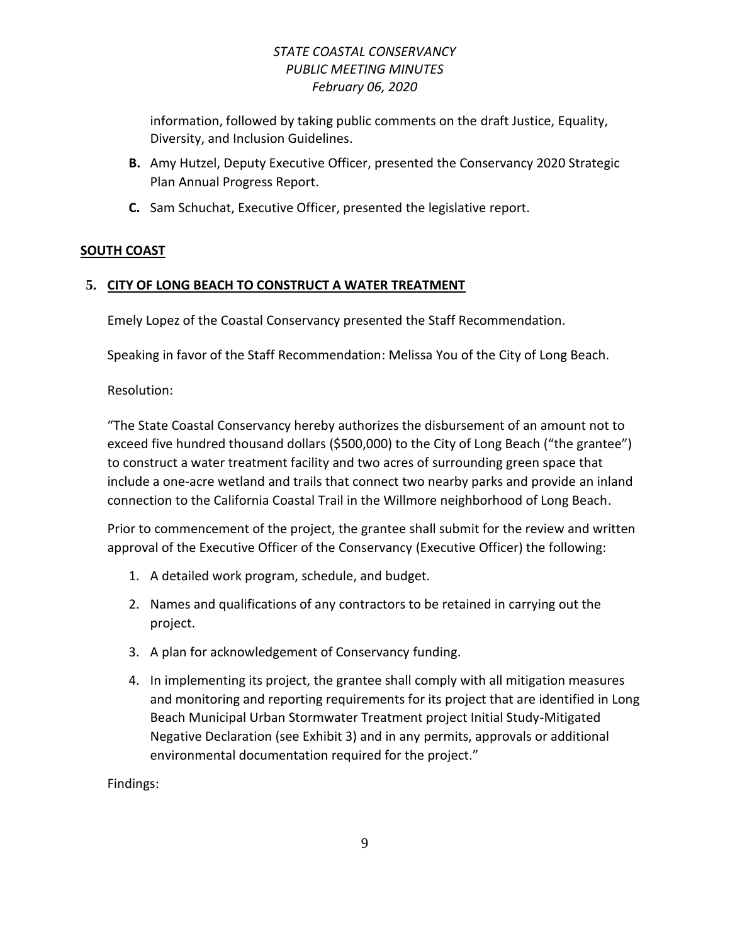information, followed by taking public comments on the draft Justice, Equality, Diversity, and Inclusion Guidelines.

- **B.** Amy Hutzel, Deputy Executive Officer, presented the Conservancy 2020 Strategic Plan Annual Progress Report.
- **C.** Sam Schuchat, Executive Officer, presented the legislative report.

#### **SOUTH COAST**

# **5. CITY OF LONG BEACH TO CONSTRUCT A WATER TREATMENT**

Emely Lopez of the Coastal Conservancy presented the Staff Recommendation.

Speaking in favor of the Staff Recommendation: Melissa You of the City of Long Beach.

Resolution:

"The State Coastal Conservancy hereby authorizes the disbursement of an amount not to exceed five hundred thousand dollars (\$500,000) to the City of Long Beach ("the grantee") to construct a water treatment facility and two acres of surrounding green space that include a one-acre wetland and trails that connect two nearby parks and provide an inland connection to the California Coastal Trail in the Willmore neighborhood of Long Beach.

Prior to commencement of the project, the grantee shall submit for the review and written approval of the Executive Officer of the Conservancy (Executive Officer) the following:

- 1. A detailed work program, schedule, and budget.
- 2. Names and qualifications of any contractors to be retained in carrying out the project.
- 3. A plan for acknowledgement of Conservancy funding.
- 4. In implementing its project, the grantee shall comply with all mitigation measures and monitoring and reporting requirements for its project that are identified in Long Beach Municipal Urban Stormwater Treatment project Initial Study-Mitigated Negative Declaration (see Exhibit 3) and in any permits, approvals or additional environmental documentation required for the project."

Findings: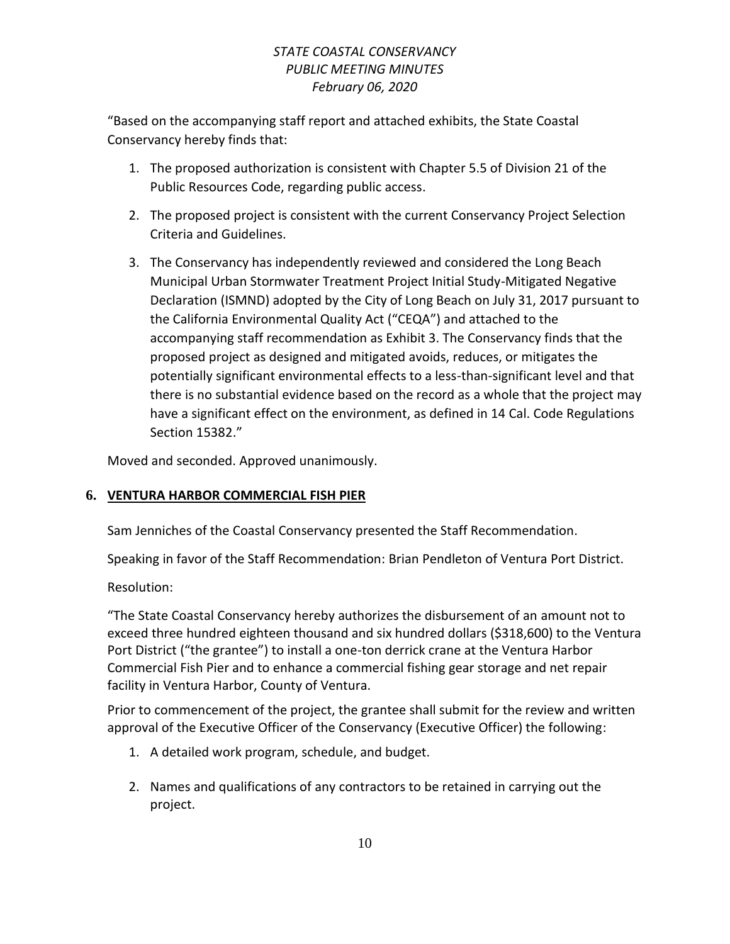"Based on the accompanying staff report and attached exhibits, the State Coastal Conservancy hereby finds that:

- 1. The proposed authorization is consistent with Chapter 5.5 of Division 21 of the Public Resources Code, regarding public access.
- 2. The proposed project is consistent with the current Conservancy Project Selection Criteria and Guidelines.
- 3. The Conservancy has independently reviewed and considered the Long Beach Municipal Urban Stormwater Treatment Project Initial Study-Mitigated Negative Declaration (ISMND) adopted by the City of Long Beach on July 31, 2017 pursuant to the California Environmental Quality Act ("CEQA") and attached to the accompanying staff recommendation as Exhibit 3. The Conservancy finds that the proposed project as designed and mitigated avoids, reduces, or mitigates the potentially significant environmental effects to a less-than-significant level and that there is no substantial evidence based on the record as a whole that the project may have a significant effect on the environment, as defined in 14 Cal. Code Regulations Section 15382."

Moved and seconded. Approved unanimously.

# **6. VENTURA HARBOR COMMERCIAL FISH PIER**

Sam Jenniches of the Coastal Conservancy presented the Staff Recommendation.

Speaking in favor of the Staff Recommendation: Brian Pendleton of Ventura Port District.

Resolution:

"The State Coastal Conservancy hereby authorizes the disbursement of an amount not to exceed three hundred eighteen thousand and six hundred dollars (\$318,600) to the Ventura Port District ("the grantee") to install a one-ton derrick crane at the Ventura Harbor Commercial Fish Pier and to enhance a commercial fishing gear storage and net repair facility in Ventura Harbor, County of Ventura.

Prior to commencement of the project, the grantee shall submit for the review and written approval of the Executive Officer of the Conservancy (Executive Officer) the following:

- 1. A detailed work program, schedule, and budget.
- 2. Names and qualifications of any contractors to be retained in carrying out the project.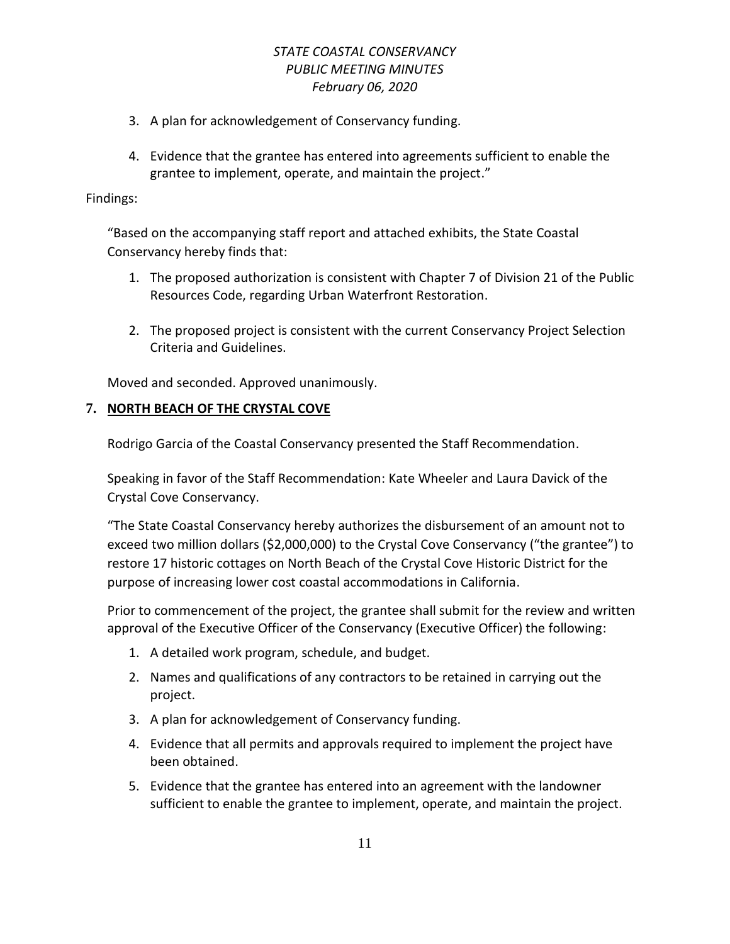- 3. A plan for acknowledgement of Conservancy funding.
- 4. Evidence that the grantee has entered into agreements sufficient to enable the grantee to implement, operate, and maintain the project."

#### Findings:

"Based on the accompanying staff report and attached exhibits, the State Coastal Conservancy hereby finds that:

- 1. The proposed authorization is consistent with Chapter 7 of Division 21 of the Public Resources Code, regarding Urban Waterfront Restoration.
- 2. The proposed project is consistent with the current Conservancy Project Selection Criteria and Guidelines.

Moved and seconded. Approved unanimously.

#### **7. NORTH BEACH OF THE CRYSTAL COVE**

Rodrigo Garcia of the Coastal Conservancy presented the Staff Recommendation.

Speaking in favor of the Staff Recommendation: Kate Wheeler and Laura Davick of the Crystal Cove Conservancy.

"The State Coastal Conservancy hereby authorizes the disbursement of an amount not to exceed two million dollars (\$2,000,000) to the Crystal Cove Conservancy ("the grantee") to restore 17 historic cottages on North Beach of the Crystal Cove Historic District for the purpose of increasing lower cost coastal accommodations in California.

Prior to commencement of the project, the grantee shall submit for the review and written approval of the Executive Officer of the Conservancy (Executive Officer) the following:

- 1. A detailed work program, schedule, and budget.
- 2. Names and qualifications of any contractors to be retained in carrying out the project.
- 3. A plan for acknowledgement of Conservancy funding.
- 4. Evidence that all permits and approvals required to implement the project have been obtained.
- 5. Evidence that the grantee has entered into an agreement with the landowner sufficient to enable the grantee to implement, operate, and maintain the project.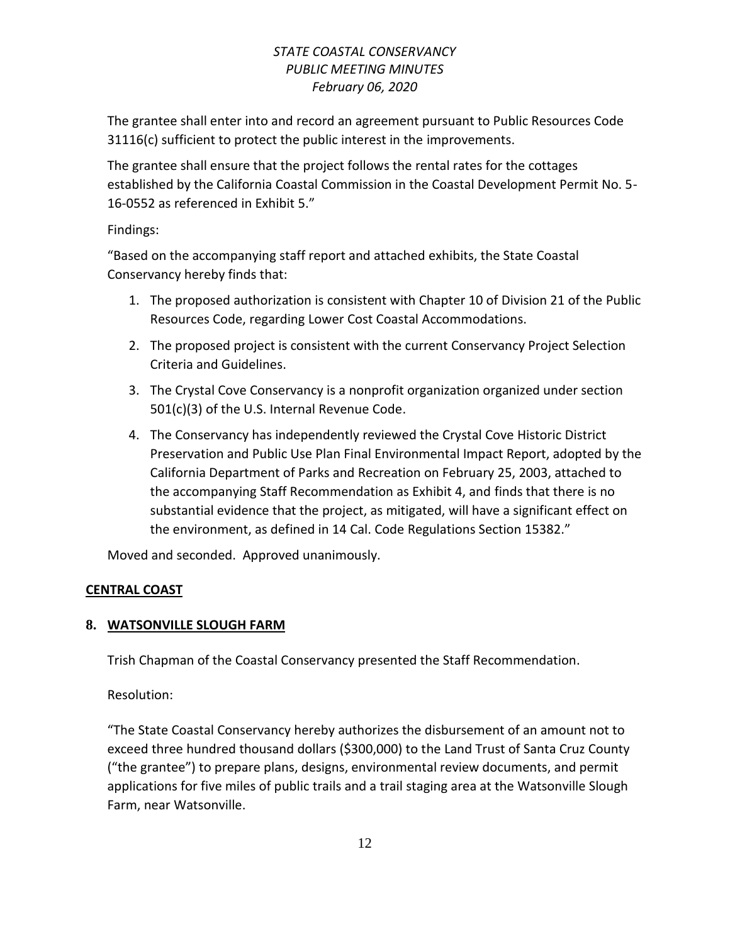The grantee shall enter into and record an agreement pursuant to Public Resources Code 31116(c) sufficient to protect the public interest in the improvements.

The grantee shall ensure that the project follows the rental rates for the cottages established by the California Coastal Commission in the Coastal Development Permit No. 5- 16-0552 as referenced in Exhibit 5."

#### Findings:

"Based on the accompanying staff report and attached exhibits, the State Coastal Conservancy hereby finds that:

- 1. The proposed authorization is consistent with Chapter 10 of Division 21 of the Public Resources Code, regarding Lower Cost Coastal Accommodations.
- 2. The proposed project is consistent with the current Conservancy Project Selection Criteria and Guidelines.
- 3. The Crystal Cove Conservancy is a nonprofit organization organized under section 501(c)(3) of the U.S. Internal Revenue Code.
- 4. The Conservancy has independently reviewed the Crystal Cove Historic District Preservation and Public Use Plan Final Environmental Impact Report, adopted by the California Department of Parks and Recreation on February 25, 2003, attached to the accompanying Staff Recommendation as Exhibit 4, and finds that there is no substantial evidence that the project, as mitigated, will have a significant effect on the environment, as defined in 14 Cal. Code Regulations Section 15382."

Moved and seconded. Approved unanimously.

# **CENTRAL COAST**

# **8. WATSONVILLE SLOUGH FARM**

Trish Chapman of the Coastal Conservancy presented the Staff Recommendation.

Resolution:

"The State Coastal Conservancy hereby authorizes the disbursement of an amount not to exceed three hundred thousand dollars (\$300,000) to the Land Trust of Santa Cruz County ("the grantee") to prepare plans, designs, environmental review documents, and permit applications for five miles of public trails and a trail staging area at the Watsonville Slough Farm, near Watsonville.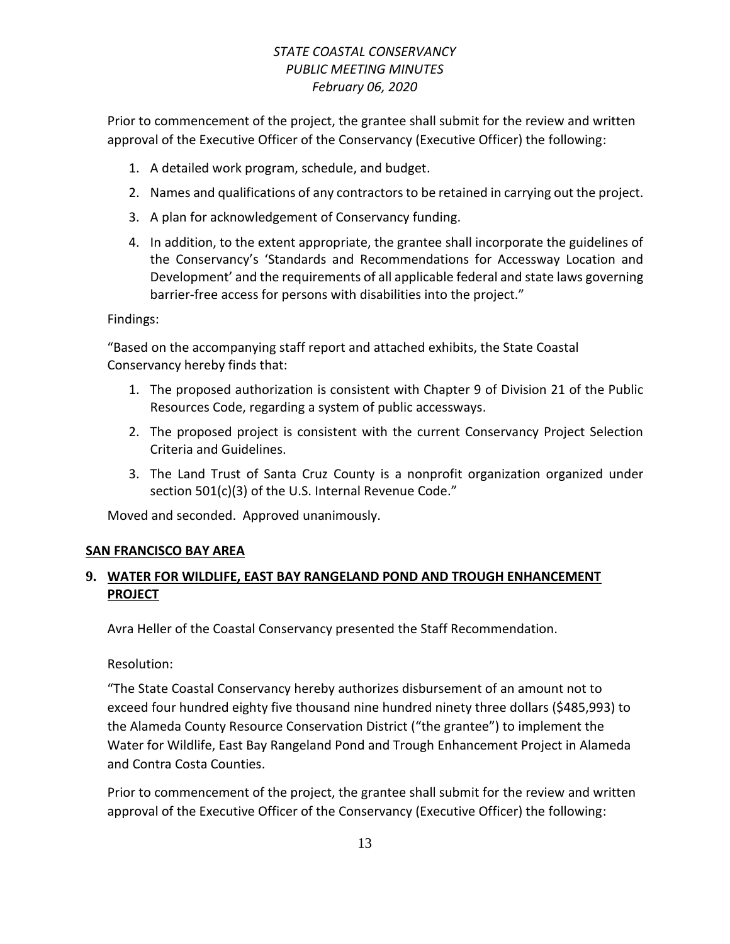Prior to commencement of the project, the grantee shall submit for the review and written approval of the Executive Officer of the Conservancy (Executive Officer) the following:

- 1. A detailed work program, schedule, and budget.
- 2. Names and qualifications of any contractors to be retained in carrying out the project.
- 3. A plan for acknowledgement of Conservancy funding.
- 4. In addition, to the extent appropriate, the grantee shall incorporate the guidelines of the Conservancy's 'Standards and Recommendations for Accessway Location and Development' and the requirements of all applicable federal and state laws governing barrier-free access for persons with disabilities into the project."

#### Findings:

"Based on the accompanying staff report and attached exhibits, the State Coastal Conservancy hereby finds that:

- 1. The proposed authorization is consistent with Chapter 9 of Division 21 of the Public Resources Code, regarding a system of public accessways.
- 2. The proposed project is consistent with the current Conservancy Project Selection Criteria and Guidelines.
- 3. The Land Trust of Santa Cruz County is a nonprofit organization organized under section 501(c)(3) of the U.S. Internal Revenue Code."

Moved and seconded. Approved unanimously.

#### **SAN FRANCISCO BAY AREA**

# **9. WATER FOR WILDLIFE, EAST BAY RANGELAND POND AND TROUGH ENHANCEMENT PROJECT**

Avra Heller of the Coastal Conservancy presented the Staff Recommendation.

Resolution:

"The State Coastal Conservancy hereby authorizes disbursement of an amount not to exceed four hundred eighty five thousand nine hundred ninety three dollars (\$485,993) to the Alameda County Resource Conservation District ("the grantee") to implement the Water for Wildlife, East Bay Rangeland Pond and Trough Enhancement Project in Alameda and Contra Costa Counties.

Prior to commencement of the project, the grantee shall submit for the review and written approval of the Executive Officer of the Conservancy (Executive Officer) the following: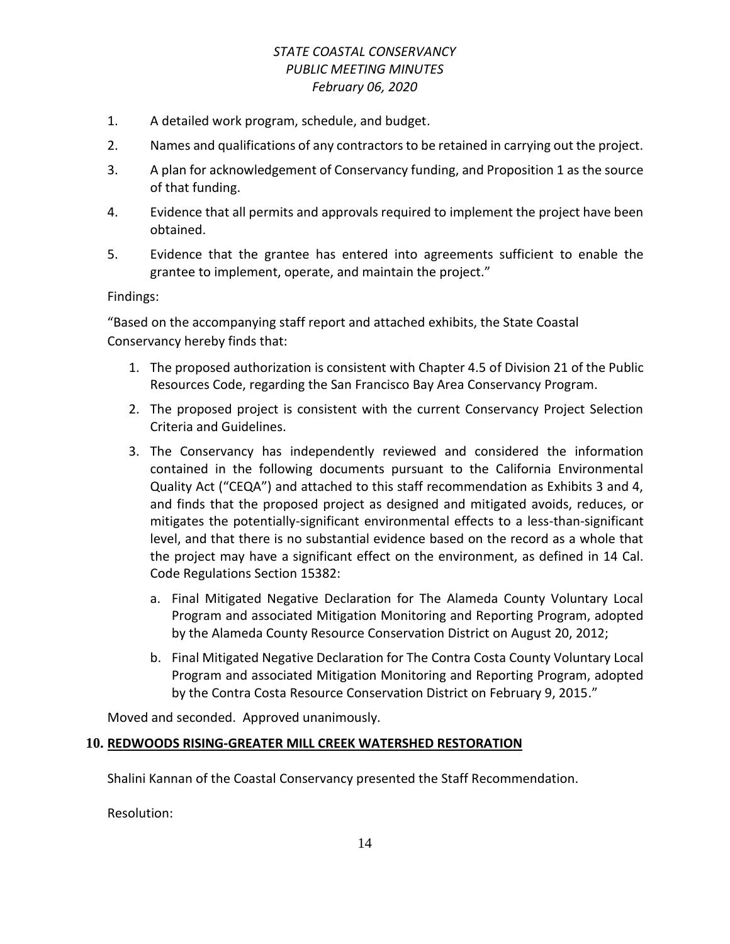- 1. A detailed work program, schedule, and budget.
- 2. Names and qualifications of any contractors to be retained in carrying out the project.
- 3. A plan for acknowledgement of Conservancy funding, and Proposition 1 as the source of that funding.
- 4. Evidence that all permits and approvals required to implement the project have been obtained.
- 5. Evidence that the grantee has entered into agreements sufficient to enable the grantee to implement, operate, and maintain the project."

Findings:

"Based on the accompanying staff report and attached exhibits, the State Coastal Conservancy hereby finds that:

- 1. The proposed authorization is consistent with Chapter 4.5 of Division 21 of the Public Resources Code, regarding the San Francisco Bay Area Conservancy Program.
- 2. The proposed project is consistent with the current Conservancy Project Selection Criteria and Guidelines.
- 3. The Conservancy has independently reviewed and considered the information contained in the following documents pursuant to the California Environmental Quality Act ("CEQA") and attached to this staff recommendation as Exhibits 3 and 4, and finds that the proposed project as designed and mitigated avoids, reduces, or mitigates the potentially-significant environmental effects to a less-than-significant level, and that there is no substantial evidence based on the record as a whole that the project may have a significant effect on the environment, as defined in 14 Cal. Code Regulations Section 15382:
	- a. Final Mitigated Negative Declaration for The Alameda County Voluntary Local Program and associated Mitigation Monitoring and Reporting Program, adopted by the Alameda County Resource Conservation District on August 20, 2012;
	- b. Final Mitigated Negative Declaration for The Contra Costa County Voluntary Local Program and associated Mitigation Monitoring and Reporting Program, adopted by the Contra Costa Resource Conservation District on February 9, 2015."

Moved and seconded. Approved unanimously.

#### **10. REDWOODS RISING-GREATER MILL CREEK WATERSHED RESTORATION**

Shalini Kannan of the Coastal Conservancy presented the Staff Recommendation.

Resolution: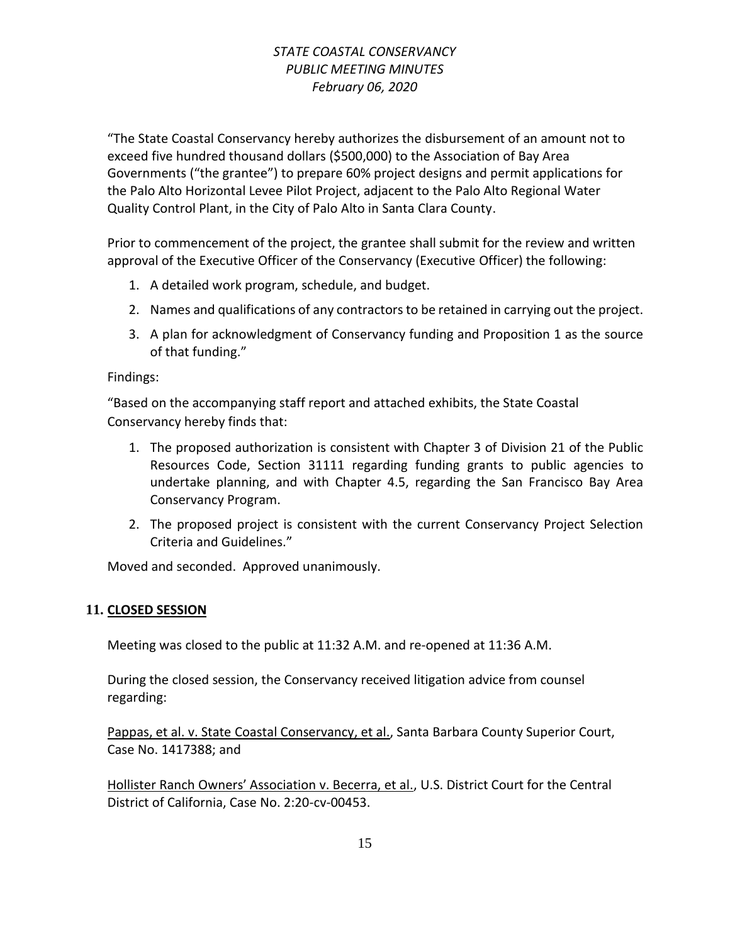"The State Coastal Conservancy hereby authorizes the disbursement of an amount not to exceed five hundred thousand dollars (\$500,000) to the Association of Bay Area Governments ("the grantee") to prepare 60% project designs and permit applications for the Palo Alto Horizontal Levee Pilot Project, adjacent to the Palo Alto Regional Water Quality Control Plant, in the City of Palo Alto in Santa Clara County.

Prior to commencement of the project, the grantee shall submit for the review and written approval of the Executive Officer of the Conservancy (Executive Officer) the following:

- 1. A detailed work program, schedule, and budget.
- 2. Names and qualifications of any contractors to be retained in carrying out the project.
- 3. A plan for acknowledgment of Conservancy funding and Proposition 1 as the source of that funding."

#### Findings:

"Based on the accompanying staff report and attached exhibits, the State Coastal Conservancy hereby finds that:

- 1. The proposed authorization is consistent with Chapter 3 of Division 21 of the Public Resources Code, Section 31111 regarding funding grants to public agencies to undertake planning, and with Chapter 4.5, regarding the San Francisco Bay Area Conservancy Program.
- 2. The proposed project is consistent with the current Conservancy Project Selection Criteria and Guidelines."

Moved and seconded. Approved unanimously.

#### **11. CLOSED SESSION**

Meeting was closed to the public at 11:32 A.M. and re-opened at 11:36 A.M.

During the closed session, the Conservancy received litigation advice from counsel regarding:

Pappas, et al. v. State Coastal Conservancy, et al., Santa Barbara County Superior Court, Case No. 1417388; and

Hollister Ranch Owners' Association v. Becerra, et al., U.S. District Court for the Central District of California, Case No. 2:20-cv-00453.